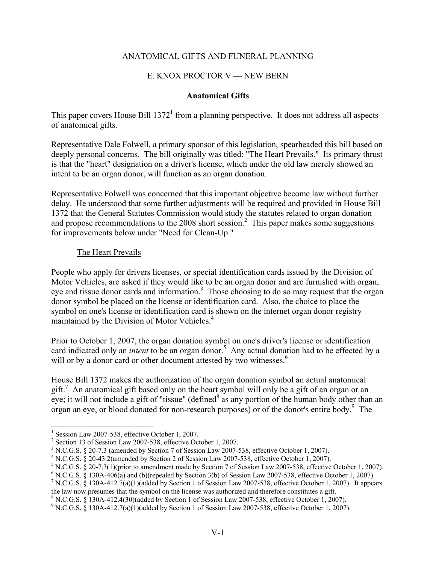# ANATOMICAL GIFTS AND FUNERAL PLANNING

## E. KNOX PROCTOR V - NEW BERN

#### **Anatomical Gifts**

This paper covers House Bill  $1372<sup>1</sup>$  from a planning perspective. It does not address all aspects of anatomical gifts.

Representative Dale Folwell, a primary sponsor of this legislation, spearheaded this bill based on deeply personal concerns. The bill originally was titled: "The Heart Prevails." Its primary thrust is that the "heart" designation on a driver's license, which under the old law merely showed an intent to be an organ donor, will function as an organ donation.

Representative Folwell was concerned that this important objective become law without further delay. He understood that some further adjustments will be required and provided in House Bill 1372 that the General Statutes Commission would study the statutes related to organ donation and propose recommendations to the 2008 short session.<sup>2</sup> This paper makes some suggestions for improvements below under "Need for Clean-Up."

#### The Heart Prevails

People who apply for drivers licenses, or special identification cards issued by the Division of Motor Vehicles, are asked if they would like to be an organ donor and are furnished with organ, eye and tissue donor cards and information.<sup>3</sup> Those choosing to do so may request that the organ donor symbol be placed on the license or identification card. Also, the choice to place the symbol on one's license or identification card is shown on the internet organ donor registry maintained by the Division of Motor Vehicles.<sup>4</sup>

Prior to October 1, 2007, the organ donation symbol on one's driver's license or identification card indicated only an *intent* to be an organ donor.<sup>5</sup> Any actual donation had to be effected by a will or by a donor card or other document attested by two witnesses.<sup>6</sup>

House Bill 1372 makes the authorization of the organ donation symbol an actual anatomical gift.<sup>7</sup> An anatomical gift based only on the heart symbol will only be a gift of an organ or an eye; it will not include a gift of "tissue" (defined  $\delta$  as any portion of the human body other than an organ an eye, or blood donated for non-research purposes) or of the donor's entire body.<sup>9</sup> The

1

<sup>&</sup>lt;sup>1</sup> Session Law 2007-538, effective October 1, 2007.

<sup>&</sup>lt;sup>2</sup> Section 13 of Session Law 2007-538, effective October 1, 2007.

 $3 N.C.G.S. \S 20-7.3$  (amended by Section 7 of Session Law 2007-538, effective October 1, 2007).

<sup>4</sup> N.C.G.S. § 20-43.2(amended by Section 2 of Session Law 2007-538, effective October 1, 2007).

 $^5$  N.C.G.S. § 20-7.3(1)(prior to amendment made by Section 7 of Session Law 2007-538, effective October 1, 2007).

 $6$  N.C.G.S. § 130A-406(a) and (b)(repealed by Section 3(b) of Session Law 2007-538, effective October 1, 2007).

<sup>&</sup>lt;sup>7</sup> N.C.G.S. § 130A-412.7(a)(1)(added by Section 1 of Session Law 2007-538, effective October 1, 2007). It appears the law now presumes that the symbol on the license was authorized and therefore constitutes a gift.

 $8 N.C.G.S. \S 130A-412.4(30)$ (added by Section 1 of Session Law 2007-538, effective October 1, 2007).

<sup>&</sup>lt;sup>9</sup> N.C.G.S. § 130A-412.7(a)(1)(added by Section 1 of Session Law 2007-538, effective October 1, 2007).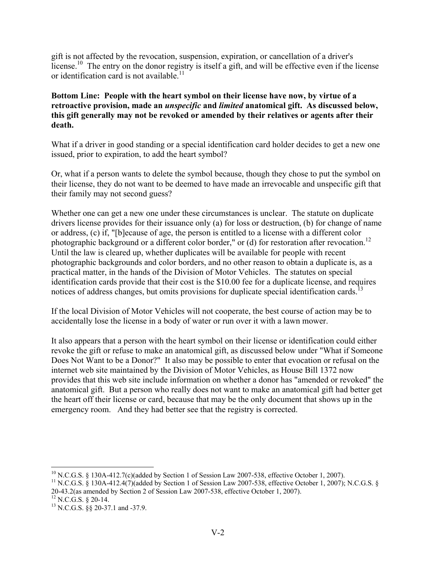gift is not affected by the revocation, suspension, expiration, or cancellation of a driver's license.<sup>10</sup> The entry on the donor registry is itself a gift, and will be effective even if the license or identification card is not available.<sup>11</sup>

# **Bottom Line: People with the heart symbol on their license have now, by virtue of a retroactive provision, made an** *unspecific* **and** *limited* **anatomical gift. As discussed below, this gift generally may not be revoked or amended by their relatives or agents after their death.**

What if a driver in good standing or a special identification card holder decides to get a new one issued, prior to expiration, to add the heart symbol?

Or, what if a person wants to delete the symbol because, though they chose to put the symbol on their license, they do not want to be deemed to have made an irrevocable and unspecific gift that their family may not second guess?

Whether one can get a new one under these circumstances is unclear. The statute on duplicate drivers license provides for their issuance only (a) for loss or destruction, (b) for change of name or address, (c) if, "[b]ecause of age, the person is entitled to a license with a different color photographic background or a different color border," or (d) for restoration after revocation.<sup>12</sup> Until the law is cleared up, whether duplicates will be available for people with recent photographic backgrounds and color borders, and no other reason to obtain a duplicate is, as a practical matter, in the hands of the Division of Motor Vehicles. The statutes on special identification cards provide that their cost is the \$10.00 fee for a duplicate license, and requires notices of address changes, but omits provisions for duplicate special identification cards.<sup>13</sup>

If the local Division of Motor Vehicles will not cooperate, the best course of action may be to accidentally lose the license in a body of water or run over it with a lawn mower.

It also appears that a person with the heart symbol on their license or identification could either revoke the gift or refuse to make an anatomical gift, as discussed below under "What if Someone Does Not Want to be a Donor?" It also may be possible to enter that evocation or refusal on the internet web site maintained by the Division of Motor Vehicles, as House Bill 1372 now provides that this web site include information on whether a donor has "amended or revoked" the anatomical gift. But a person who really does not want to make an anatomical gift had better get the heart off their license or card, because that may be the only document that shows up in the emergency room. And they had better see that the registry is corrected.

 $\overline{a}$  $10$  N.C.G.S. § 130A-412.7(c)(added by Section 1 of Session Law 2007-538, effective October 1, 2007).

<sup>&</sup>lt;sup>11</sup> N.C.G.S. § 130A-412.4(7)(added by Section 1 of Session Law 2007-538, effective October 1, 2007); N.C.G.S. § 20-43.2(as amended by Section 2 of Session Law 2007-538, effective October 1, 2007).

 $^{12}$  N.C.G.S. § 20-14.

<sup>&</sup>lt;sup>13</sup> N.C.G.S. §§ 20-37.1 and -37.9.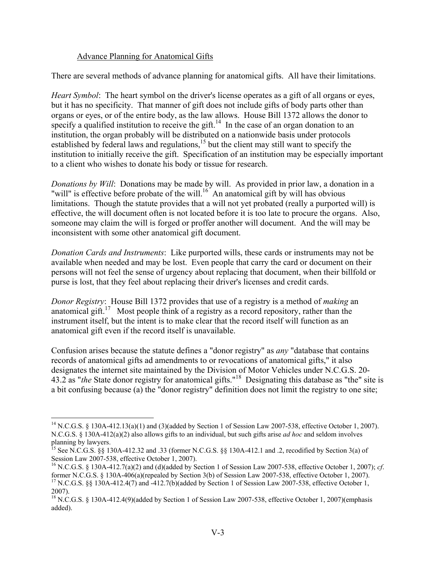## Advance Planning for Anatomical Gifts

There are several methods of advance planning for anatomical gifts. All have their limitations.

*Heart Symbol*: The heart symbol on the driver's license operates as a gift of all organs or eyes, but it has no specificity. That manner of gift does not include gifts of body parts other than organs or eyes, or of the entire body, as the law allows. House Bill 1372 allows the donor to specify a qualified institution to receive the gift.<sup>14</sup> In the case of an organ donation to an institution, the organ probably will be distributed on a nationwide basis under protocols established by federal laws and regulations,<sup>15</sup> but the client may still want to specify the institution to initially receive the gift. Specification of an institution may be especially important to a client who wishes to donate his body or tissue for research.

*Donations by Will*: Donations may be made by will. As provided in prior law, a donation in a "will" is effective before probate of the will.<sup>16</sup> An anatomical gift by will has obvious limitations. Though the statute provides that a will not yet probated (really a purported will) is effective, the will document often is not located before it is too late to procure the organs. Also, someone may claim the will is forged or proffer another will document. And the will may be inconsistent with some other anatomical gift document.

*Donation Cards and Instruments*: Like purported wills, these cards or instruments may not be available when needed and may be lost. Even people that carry the card or document on their persons will not feel the sense of urgency about replacing that document, when their billfold or purse is lost, that they feel about replacing their driver's licenses and credit cards.

*Donor Registry*: House Bill 1372 provides that use of a registry is a method of *making* an anatomical gift.<sup>17</sup> Most people think of a registry as a record repository, rather than the instrument itself, but the intent is to make clear that the record itself will function as an anatomical gift even if the record itself is unavailable.

Confusion arises because the statute defines a "donor registry" as *any* "database that contains records of anatomical gifts ad amendments to or revocations of anatomical gifts," it also designates the internet site maintained by the Division of Motor Vehicles under N.C.G.S. 20- 43.2 as "*the* State donor registry for anatomical gifts."18 Designating this database as "the" site is a bit confusing because (a) the "donor registry" definition does not limit the registry to one site;

<sup>&</sup>lt;sup>14</sup> N.C.G.S. § 130A-412.13(a)(1) and (3)(added by Section 1 of Session Law 2007-538, effective October 1, 2007). N.C.G.S. § 130A-412(a)(2) also allows gifts to an individual, but such gifts arise *ad hoc* and seldom involves planning by lawyers.

<sup>&</sup>lt;sup>15</sup> See N.C.G.S. §§ 130A-412.32 and .33 (former N.C.G.S. §§ 130A-412.1 and .2, recodified by Section 3(a) of Session Law 2007-538, effective October 1, 2007).

<sup>16</sup> N.C.G.S. § 130A-412.7(a)(2) and (d)(added by Section 1 of Session Law 2007-538, effective October 1, 2007); *cf*. former N.C.G.S. § 130A-406(a)(repealed by Section 3(b) of Session Law 2007-538, effective October 1, 2007). <sup>17</sup> N.C.G.S. §§ 130A-412.4(7) and -412.7(b)(added by Section 1 of Session Law 2007-538, effective October 1,

<sup>2007).</sup> 

<sup>&</sup>lt;sup>18</sup> N.C.G.S. § 130A-412.4(9)(added by Section 1 of Session Law 2007-538, effective October 1, 2007)(emphasis added).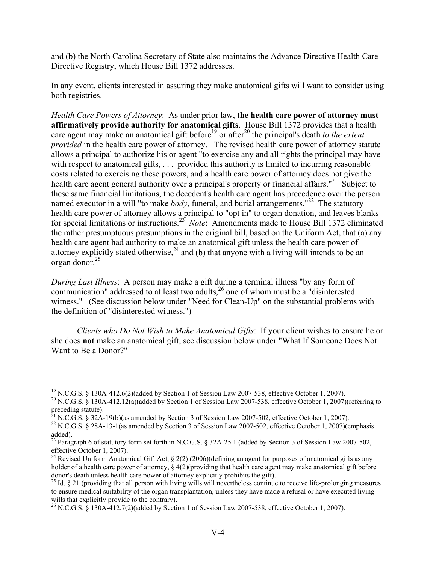and (b) the North Carolina Secretary of State also maintains the Advance Directive Health Care Directive Registry, which House Bill 1372 addresses.

In any event, clients interested in assuring they make anatomical gifts will want to consider using both registries.

*Health Care Powers of Attorney*: As under prior law, **the health care power of attorney must affirmatively provide authority for anatomical gifts**. House Bill 1372 provides that a health care agent may make an anatomical gift before<sup>19</sup> or after<sup>20</sup> the principal's death *to the extent provided* in the health care power of attorney. The revised health care power of attorney statute allows a principal to authorize his or agent "to exercise any and all rights the principal may have with respect to anatomical gifts, ... provided this authority is limited to incurring reasonable costs related to exercising these powers, and a health care power of attorney does not give the health care agent general authority over a principal's property or financial affairs."<sup>21</sup> Subject to these same financial limitations, the decedent's health care agent has precedence over the person named executor in a will "to make *body*, funeral, and burial arrangements."<sup>22</sup> The statutory health care power of attorney allows a principal to "opt in" to organ donation, and leaves blanks for special limitations or instructions.23 *Note*: Amendments made to House Bill 1372 eliminated the rather presumptuous presumptions in the original bill, based on the Uniform Act, that (a) any health care agent had authority to make an anatomical gift unless the health care power of attorney explicitly stated otherwise,  $24$  and (b) that anyone with a living will intends to be an organ donor.25

*During Last Illness*: A person may make a gift during a terminal illness "by any form of communication" addressed to at least two adults, $^{26}$  one of whom must be a "disinterested" witness." (See discussion below under "Need for Clean-Up" on the substantial problems with the definition of "disinterested witness.")

*Clients who Do Not Wish to Make Anatomical Gifts*: If your client wishes to ensure he or she does **not** make an anatomical gift, see discussion below under "What If Someone Does Not Want to Be a Donor?"

1

<sup>&</sup>lt;sup>19</sup> N.C.G.S. § 130A-412.6(2)(added by Section 1 of Session Law 2007-538, effective October 1, 2007).

<sup>&</sup>lt;sup>20</sup> N.C.G.S. § 130A-412.12(a)(added by Section 1 of Session Law 2007-538, effective October 1, 2007)(referring to preceding statute).

<sup>&</sup>lt;sup>21</sup> N.C.G.S. § 32A-19(b)(as amended by Section 3 of Session Law 2007-502, effective October 1, 2007).

<sup>&</sup>lt;sup>22</sup> N.C.G.S. § 28A-13-1(as amended by Section 3 of Session Law 2007-502, effective October 1, 2007)(emphasis added).

<sup>&</sup>lt;sup>23</sup> Paragraph 6 of statutory form set forth in N.C.G.S. § 32A-25.1 (added by Section 3 of Session Law 2007-502, effective October 1, 2007).

<sup>&</sup>lt;sup>24</sup> Revised Uniform Anatomical Gift Act, § 2(2) (2006)(defining an agent for purposes of anatomical gifts as any holder of a health care power of attorney,  $\S 4(2)$ (providing that health care agent may make anatomical gift before donor's death unless health care power of attorney explicitly prohibits the gift).<br><sup>25</sup> Id. § 21 (providing that all person with living wills will nevertheless continue to receive life-prolonging measures

to ensure medical suitability of the organ transplantation, unless they have made a refusal or have executed living wills that explicitly provide to the contrary).

<sup>26</sup> N.C.G.S. § 130A-412.7(2)(added by Section 1 of Session Law 2007-538, effective October 1, 2007).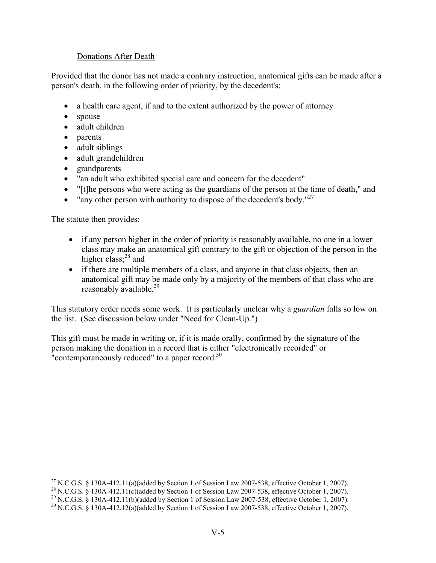# Donations After Death

Provided that the donor has not made a contrary instruction, anatomical gifts can be made after a person's death, in the following order of priority, by the decedent's:

- a health care agent, if and to the extent authorized by the power of attorney
- spouse
- adult children
- parents
- adult siblings
- adult grandchildren
- grandparents
- "an adult who exhibited special care and concern for the decedent"
- "[t]he persons who were acting as the guardians of the person at the time of death," and
- "any other person with authority to dispose of the decedent's body."<sup>27</sup>

The statute then provides:

 $\overline{a}$ 

- if any person higher in the order of priority is reasonably available, no one in a lower class may make an anatomical gift contrary to the gift or objection of the person in the higher class:<sup>28</sup> and
- if there are multiple members of a class, and anyone in that class objects, then an anatomical gift may be made only by a majority of the members of that class who are reasonably available.<sup>29</sup>

This statutory order needs some work. It is particularly unclear why a *guardian* falls so low on the list. (See discussion below under "Need for Clean-Up.")

This gift must be made in writing or, if it is made orally, confirmed by the signature of the person making the donation in a record that is either "electronically recorded" or "contemporaneously reduced" to a paper record. $30$ 

<sup>&</sup>lt;sup>27</sup> N.C.G.S. § 130A-412.11(a)(added by Section 1 of Session Law 2007-538, effective October 1, 2007).

<sup>&</sup>lt;sup>28</sup> N.C.G.S. § 130A-412.11(c)(added by Section 1 of Session Law 2007-538, effective October 1, 2007).

<sup>&</sup>lt;sup>29</sup> N.C.G.S. § 130A-412.11(b)(added by Section 1 of Session Law 2007-538, effective October 1, 2007).

 $30$  N.C.G.S. § 130A-412.12(a)(added by Section 1 of Session Law 2007-538, effective October 1, 2007).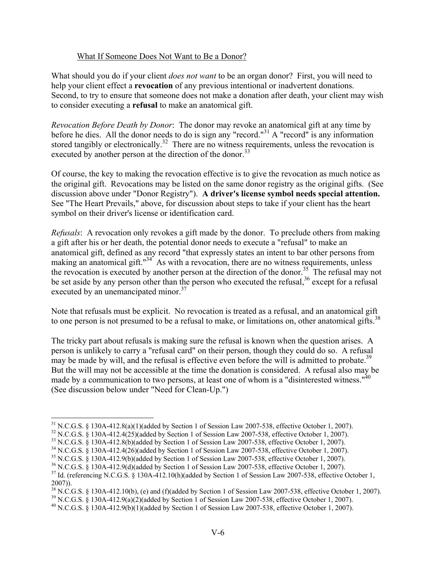## What If Someone Does Not Want to Be a Donor?

What should you do if your client *does not want* to be an organ donor? First, you will need to help your client effect a **revocation** of any previous intentional or inadvertent donations. Second, to try to ensure that someone does not make a donation after death, your client may wish to consider executing a **refusal** to make an anatomical gift.

*Revocation Before Death by Donor*: The donor may revoke an anatomical gift at any time by before he dies. All the donor needs to do is sign any "record."<sup>31</sup> A "record" is any information stored tangibly or electronically.<sup>32</sup> There are no witness requirements, unless the revocation is executed by another person at the direction of the donor.<sup>33</sup>

Of course, the key to making the revocation effective is to give the revocation as much notice as the original gift. Revocations may be listed on the same donor registry as the original gifts. (See discussion above under "Donor Registry"). **A driver's license symbol needs special attention.** See "The Heart Prevails," above, for discussion about steps to take if your client has the heart symbol on their driver's license or identification card.

*Refusals*: A revocation only revokes a gift made by the donor. To preclude others from making a gift after his or her death, the potential donor needs to execute a "refusal" to make an anatomical gift, defined as any record "that expressly states an intent to bar other persons from making an anatomical gift."<sup>34</sup> As with a revocation, there are no witness requirements, unless the revocation is executed by another person at the direction of the donor.<sup>35</sup> The refusal may not be set aside by any person other than the person who executed the refusal,  $36$  except for a refusal executed by an unemancipated minor.<sup>37</sup>

Note that refusals must be explicit. No revocation is treated as a refusal, and an anatomical gift to one person is not presumed to be a refusal to make, or limitations on, other anatomical gifts.<sup>38</sup>

The tricky part about refusals is making sure the refusal is known when the question arises. A person is unlikely to carry a "refusal card" on their person, though they could do so. A refusal may be made by will, and the refusal is effective even before the will is admitted to probate.<sup>39</sup> But the will may not be accessible at the time the donation is considered. A refusal also may be made by a communication to two persons, at least one of whom is a "disinterested witness."<sup>40</sup> (See discussion below under "Need for Clean-Up.")

1

 $31$  N.C.G.S. § 130A-412.8(a)(1)(added by Section 1 of Session Law 2007-538, effective October 1, 2007).

 $32$  N.C.G.S. § 130A-412.4(25)(added by Section 1 of Session Law 2007-538, effective October 1, 2007).

<sup>&</sup>lt;sup>33</sup> N.C.G.S. § 130A-412.8(b)(added by Section 1 of Session Law 2007-538, effective October 1, 2007).

 $34$  N.C.G.S.  $\frac{8}{3}$  130A-412.4(26)(added by Section 1 of Session Law 2007-538, effective October 1, 2007).

<sup>35</sup> N.C.G.S. § 130A-412.9(b)(added by Section 1 of Session Law 2007-538, effective October 1, 2007).

<sup>36</sup> N.C.G.S. § 130A-412.9(d)(added by Section 1 of Session Law 2007-538, effective October 1, 2007).

<sup>&</sup>lt;sup>37</sup> Id. (referencing N.C.G.S. § 130A-412.10(h)(added by Section 1 of Session Law 2007-538, effective October 1, 2007)).

 $38$  N.C.G.S. § 130A-412.10(b), (e) and (f)(added by Section 1 of Session Law 2007-538, effective October 1, 2007).

 $39$  N.C.G.S. § 130A-412.9(a)(2)(added by Section 1 of Session Law 2007-538, effective October 1, 2007).

 $^{40}$  N.C.G.S. § 130A-412.9(b)(1)(added by Section 1 of Session Law 2007-538, effective October 1, 2007).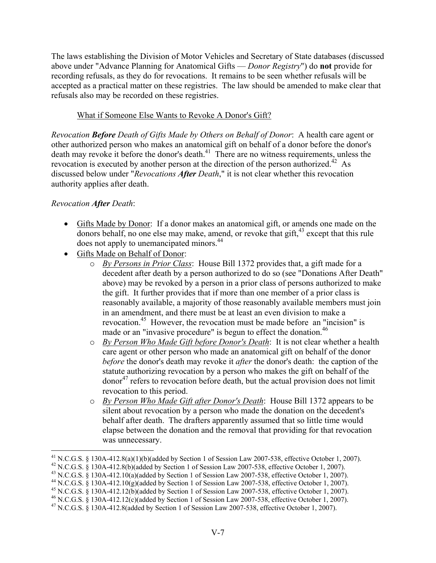The laws establishing the Division of Motor Vehicles and Secretary of State databases (discussed above under "Advance Planning for Anatomical Gifts –– *Donor Registry*") do **not** provide for recording refusals, as they do for revocations. It remains to be seen whether refusals will be accepted as a practical matter on these registries. The law should be amended to make clear that refusals also may be recorded on these registries.

# What if Someone Else Wants to Revoke A Donor's Gift?

*Revocation Before Death of Gifts Made by Others on Behalf of Donor*: A health care agent or other authorized person who makes an anatomical gift on behalf of a donor before the donor's death may revoke it before the donor's death.<sup>41</sup> There are no witness requirements, unless the revocation is executed by another person at the direction of the person authorized.<sup> $42$ </sup> As discussed below under "*Revocations After Death*," it is not clear whether this revocation authority applies after death.

# *Revocation After Death*:

- Gifts Made by Donor: If a donor makes an anatomical gift, or amends one made on the donors behalf, no one else may make, amend, or revoke that gift, $43$  except that this rule does not apply to unemancipated minors.<sup>44</sup>
- Gifts Made on Behalf of Donor:
	- o *By Persons in Prior Class*: House Bill 1372 provides that, a gift made for a decedent after death by a person authorized to do so (see "Donations After Death" above) may be revoked by a person in a prior class of persons authorized to make the gift. It further provides that if more than one member of a prior class is reasonably available, a majority of those reasonably available members must join in an amendment, and there must be at least an even division to make a revocation.45 However, the revocation must be made before an "incision" is made or an "invasive procedure" is begun to effect the donation.<sup>46</sup>
	- o *By Person Who Made Gift before Donor's Death*: It is not clear whether a health care agent or other person who made an anatomical gift on behalf of the donor *before* the donor's death may revoke it *after* the donor's death: the caption of the statute authorizing revocation by a person who makes the gift on behalf of the  $\mu$  donor<sup>47</sup> refers to revocation before death, but the actual provision does not limit revocation to this period.
	- o *By Person Who Made Gift after Donor's Death*: House Bill 1372 appears to be silent about revocation by a person who made the donation on the decedent's behalf after death. The drafters apparently assumed that so little time would elapse between the donation and the removal that providing for that revocation was unnecessary.

<sup>&</sup>lt;sup>41</sup> N.C.G.S. § 130A-412.8(a)(1)(b)(added by Section 1 of Session Law 2007-538, effective October 1, 2007).<br><sup>42</sup> N.C.G.S. § 130A-412.8(b)(added by Section 1 of Session Law 2007-538, effective October 1, 2007).

<sup>&</sup>lt;sup>43</sup> N.C.G.S. § 130A-412.10(a)(added by Section 1 of Session Law 2007-538, effective October 1, 2007).

<sup>&</sup>lt;sup>44</sup> N.C.G.S. § 130A-412.10(g)(added by Section 1 of Session Law 2007-538, effective October 1, 2007).

<sup>&</sup>lt;sup>45</sup> N.C.G.S. § 130A-412.12(b)(added by Section 1 of Session Law 2007-538, effective October 1, 2007).

<sup>&</sup>lt;sup>46</sup> N.C.G.S. § 130A-412.12(c)(added by Section 1 of Session Law 2007-538, effective October 1, 2007).

<sup>&</sup>lt;sup>47</sup> N.C.G.S. § 130A-412.8(added by Section 1 of Session Law 2007-538, effective October 1, 2007).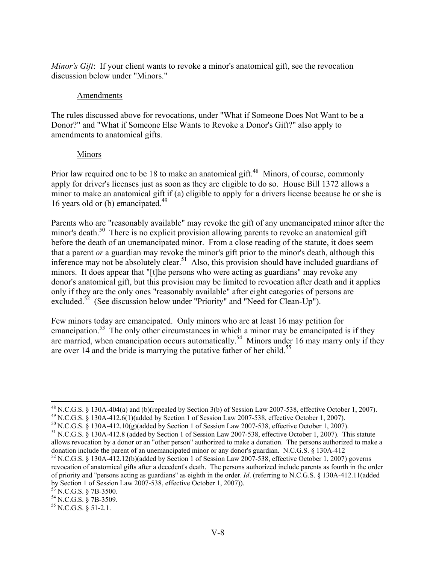*Minor's Gift*: If your client wants to revoke a minor's anatomical gift, see the revocation discussion below under "Minors."

#### Amendments

The rules discussed above for revocations, under "What if Someone Does Not Want to be a Donor?" and "What if Someone Else Wants to Revoke a Donor's Gift?" also apply to amendments to anatomical gifts.

#### Minors

Prior law required one to be 18 to make an anatomical gift.<sup>48</sup> Minors, of course, commonly apply for driver's licenses just as soon as they are eligible to do so. House Bill 1372 allows a minor to make an anatomical gift if (a) eligible to apply for a drivers license because he or she is 16 years old or (b) emancipated. $^{49}$ 

Parents who are "reasonably available" may revoke the gift of any unemancipated minor after the minor's death.<sup>50</sup> There is no explicit provision allowing parents to revoke an anatomical gift before the death of an unemancipated minor. From a close reading of the statute, it does seem that a parent *or* a guardian may revoke the minor's gift prior to the minor's death, although this inference may not be absolutely clear.<sup>51</sup> Also, this provision should have included guardians of minors. It does appear that "[t]he persons who were acting as guardians" may revoke any donor's anatomical gift, but this provision may be limited to revocation after death and it applies only if they are the only ones "reasonably available" after eight categories of persons are excluded.<sup>52</sup> (See discussion below under "Priority" and "Need for Clean-Up").

Few minors today are emancipated. Only minors who are at least 16 may petition for emancipation.<sup>53</sup> The only other circumstances in which a minor may be emancipated is if they are married, when emancipation occurs automatically.<sup>54</sup> Minors under 16 may marry only if they are over 14 and the bride is marrying the putative father of her child.<sup>55</sup>

 $\overline{a}$  $^{48}$  N.C.G.S. § 130A-404(a) and (b)(repealed by Section 3(b) of Session Law 2007-538, effective October 1, 2007).

<sup>49</sup> N.C.G.S. § 130A-412.6(1)(added by Section 1 of Session Law 2007-538, effective October 1, 2007).

 $50$  N.C.G.S. § 130A-412.10(g)(added by Section 1 of Session Law 2007-538, effective October 1, 2007).

<sup>51</sup> N.C.G.S. § 130A-412.8 (added by Section 1 of Session Law 2007-538, effective October 1, 2007). This statute allows revocation by a donor or an "other person" authorized to make a donation. The persons authorized to make a donation include the parent of an unemancipated minor or any donor's guardian. N.C.G.S. § 130A-412

 $52$  N.C.G.S. § 130A-412.12(b)(added by Section 1 of Session Law 2007-538, effective October 1, 2007) governs revocation of anatomical gifts after a decedent's death. The persons authorized include parents as fourth in the order of priority and "persons acting as guardians" as eighth in the order. *Id*. (referring to N.C.G.S. § 130A-412.11(added by Section 1 of Session Law 2007-538, effective October 1, 2007)).

 $53$  N.C.G.S. § 7B-3500.

<sup>54</sup> N.C.G.S. § 7B-3509.

 $55$  N.C.G.S. § 51-2.1.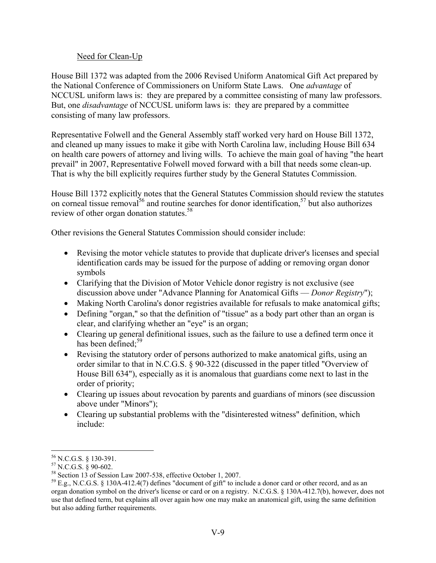## Need for Clean-Up

House Bill 1372 was adapted from the 2006 Revised Uniform Anatomical Gift Act prepared by the National Conference of Commissioners on Uniform State Laws. One *advantage* of NCCUSL uniform laws is: they are prepared by a committee consisting of many law professors. But, one *disadvantage* of NCCUSL uniform laws is: they are prepared by a committee consisting of many law professors.

Representative Folwell and the General Assembly staff worked very hard on House Bill 1372, and cleaned up many issues to make it gibe with North Carolina law, including House Bill 634 on health care powers of attorney and living wills. To achieve the main goal of having "the heart prevail" in 2007, Representative Folwell moved forward with a bill that needs some clean-up. That is why the bill explicitly requires further study by the General Statutes Commission.

House Bill 1372 explicitly notes that the General Statutes Commission should review the statutes on corneal tissue removal<sup>56</sup> and routine searches for donor identification,<sup>57</sup> but also authorizes review of other organ donation statutes.<sup>58</sup>

Other revisions the General Statutes Commission should consider include:

- Revising the motor vehicle statutes to provide that duplicate driver's licenses and special identification cards may be issued for the purpose of adding or removing organ donor symbols
- Clarifying that the Division of Motor Vehicle donor registry is not exclusive (see discussion above under "Advance Planning for Anatomical Gifts –– *Donor Registry*");
- Making North Carolina's donor registries available for refusals to make anatomical gifts;
- Defining "organ," so that the definition of "tissue" as a body part other than an organ is clear, and clarifying whether an "eye" is an organ;
- Clearing up general definitional issues, such as the failure to use a defined term once it has been defined: $59$
- Revising the statutory order of persons authorized to make anatomical gifts, using an order similar to that in N.C.G.S. § 90-322 (discussed in the paper titled "Overview of House Bill 634"), especially as it is anomalous that guardians come next to last in the order of priority;
- Clearing up issues about revocation by parents and guardians of minors (see discussion above under "Minors");
- Clearing up substantial problems with the "disinterested witness" definition, which include:

 $\overline{a}$  $56$  N.C.G.S. § 130-391.

 $57$  N.C.G.S.  $\frac{8}{9}$  90-602.

<sup>58</sup> Section 13 of Session Law 2007-538, effective October 1, 2007.

 $^{59}$  E.g., N.C.G.S. § 130A-412.4(7) defines "document of gift" to include a donor card or other record, and as an organ donation symbol on the driver's license or card or on a registry. N.C.G.S. § 130A-412.7(b), however, does not use that defined term, but explains all over again how one may make an anatomical gift, using the same definition but also adding further requirements.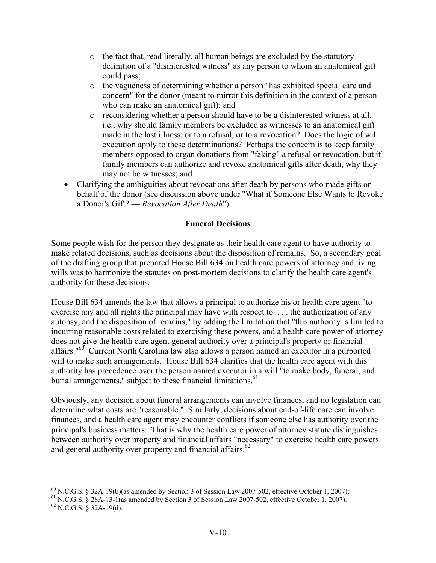- o the fact that, read literally, all human beings are excluded by the statutory definition of a "disinterested witness" as any person to whom an anatomical gift could pass;
- o the vagueness of determining whether a person "has exhibited special care and concern" for the donor (meant to mirror this definition in the context of a person who can make an anatomical gift); and
- o reconsidering whether a person should have to be a disinterested witness at all, i.e., why should family members be excluded as witnesses to an anatomical gift made in the last illness, or to a refusal, or to a revocation? Does the logic of will execution apply to these determinations? Perhaps the concern is to keep family members opposed to organ donations from "faking" a refusal or revocation, but if family members can authorize and revoke anatomical gifts after death, why they may not be witnesses; and
- Clarifying the ambiguities about revocations after death by persons who made gifts on behalf of the donor (see discussion above under "What if Someone Else Wants to Revoke a Donor's Gift? –– *Revocation After Death*").

# **Funeral Decisions**

Some people wish for the person they designate as their health care agent to have authority to make related decisions, such as decisions about the disposition of remains. So, a secondary goal of the drafting group that prepared House Bill 634 on health care powers of attorney and living wills was to harmonize the statutes on post-mortem decisions to clarify the health care agent's authority for these decisions.

House Bill 634 amends the law that allows a principal to authorize his or health care agent "to exercise any and all rights the principal may have with respect to . . . the authorization of any autopsy, and the disposition of remains," by adding the limitation that "this authority is limited to incurring reasonable costs related to exercising these powers, and a health care power of attorney does not give the health care agent general authority over a principal's property or financial affairs."60 Current North Carolina law also allows a person named an executor in a purported will to make such arrangements. House Bill 634 clarifies that the health care agent with this authority has precedence over the person named executor in a will "to make body, funeral, and burial arrangements," subject to these financial limitations.<sup>61</sup>

Obviously, any decision about funeral arrangements can involve finances, and no legislation can determine what costs are "reasonable." Similarly, decisions about end-of-life care can involve finances, and a health care agent may encounter conflicts if someone else has authority over the principal's business matters. That is why the health care power of attorney statute distinguishes between authority over property and financial affairs "necessary" to exercise health care powers and general authority over property and financial affairs. $62$ 

 $^{60}$  N.C.G.S. § 32A-19(b)(as amended by Section 3 of Session Law 2007-502, effective October 1, 2007);

<sup>61</sup> N.C.G.S. § 28A-13-1(as amended by Section 3 of Session Law 2007-502, effective October 1, 2007).

 $62$  N.C.G.S. § 32A-19(d).